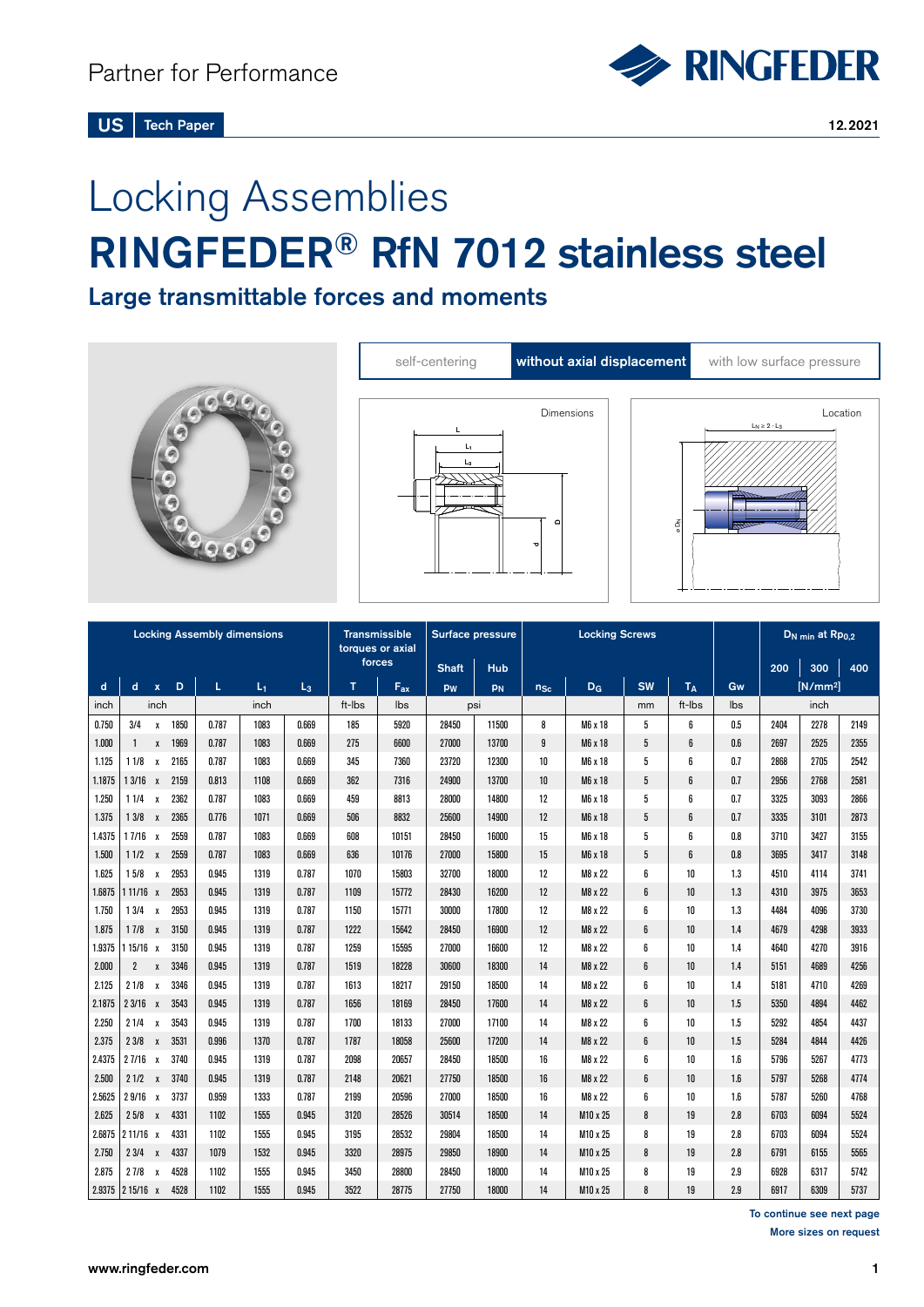# Locking Assemblies RINGFEDER® RfN 7012 stainless steel

Large transmittable forces and moments



| <b>Locking Assembly dimensions</b> |                 |              |      |       |                     | <b>Transmissible</b><br>torques or axial<br>forces |              | <b>Surface pressure</b> |       | <b>Locking Screws</b> |                |                |           |      | D <sub>N min</sub> at Rp <sub>0.2</sub> |      |            |      |
|------------------------------------|-----------------|--------------|------|-------|---------------------|----------------------------------------------------|--------------|-------------------------|-------|-----------------------|----------------|----------------|-----------|------|-----------------------------------------|------|------------|------|
|                                    |                 |              |      |       | <b>Shaft</b><br>Hub |                                                    |              |                         |       |                       |                | 200            | 300       | 400  |                                         |      |            |      |
| d                                  | $\mathbf d$     | $\mathbf x$  | D    | L     | $L_1$               | L <sub>3</sub>                                     | $\mathbf{T}$ | $F_{ax}$                | pw    | PN                    | $n_{Sc}$       | D <sub>G</sub> | <b>SW</b> | TΔ   | Gw                                      |      | $[N/mm^2]$ |      |
| inch                               | inch            |              | inch |       | ft-Ibs              | lbs                                                | psi          |                         |       |                       | mm             | ft-Ibs         | lbs       | inch |                                         |      |            |      |
| 0.750                              | 3/4             | $\mathbf{x}$ | 1850 | 0.787 | 1083                | 0.669                                              | 185          | 5920                    | 28450 | 11500                 | 8              | M6 x 18        | 5         | 6    | 0.5                                     | 2404 | 2278       | 2149 |
| 1.000                              | -1              | $\mathsf{x}$ | 1969 | 0.787 | 1083                | 0.669                                              | 275          | 6600                    | 27000 | 13700                 | $\overline{9}$ | M6 x 18        | 5         | 6    | 0.6                                     | 2697 | 2525       | 2355 |
| 1.125                              | $11/8 \times$   |              | 2165 | 0.787 | 1083                | 0.669                                              | 345          | 7360                    | 23720 | 12300                 | 10             | M6 x 18        | 5         | ĥ    | 0.7                                     | 2868 | 2705       | 2542 |
| 1.1875                             | 13/16 x         |              | 2159 | 0.813 | 1108                | 0.669                                              | 362          | 7316                    | 24900 | 13700                 | 10             | M6 x 18        | 5         | 6    | 0.7                                     | 2956 | 2768       | 2581 |
| 1.250                              | 11/4            | $\mathbf{x}$ | 2362 | 0.787 | 1083                | 0.669                                              | 459          | 8813                    | 28000 | 14800                 | 12             | M6 x 18        | 5         | 6    | 0.7                                     | 3325 | 3093       | 2866 |
| 1.375                              | 13/8 x          |              | 2365 | 0.776 | 1071                | 0.669                                              | 506          | 8832                    | 25600 | 14900                 | 12             | M6 x 18        | 5         | 6    | 0.7                                     | 3335 | 3101       | 2873 |
| 1.4375                             | $17/16 \times$  |              | 2559 | 0.787 | 1083                | 0.669                                              | 608          | 10151                   | 28450 | 16000                 | 15             | M6 x 18        | 5         | ĥ    | 0.8                                     | 3710 | 3427       | 3155 |
| 1.500                              | $11/2 \times$   |              | 2559 | 0.787 | 1083                | 0.669                                              | 636          | 10176                   | 27000 | 15800                 | 15             | M6 x 18        | 5         | 6    | 0.8                                     | 3695 | 3417       | 3148 |
| 1.625                              | 15/8 x          |              | 2953 | 0.945 | 1319                | 0.787                                              | 1070         | 15803                   | 32700 | 18000                 | 12             | M8 x 22        | 6         | 10   | 1.3                                     | 4510 | 4114       | 3741 |
| 1.6875                             | 111/16 x        |              | 2953 | 0.945 | 1319                | 0.787                                              | 1109         | 15772                   | 28430 | 16200                 | 12             | M8 x 22        | 6         | 10   | 1.3                                     | 4310 | 3975       | 3653 |
| 1.750                              | 13/4 x          |              | 2953 | 0.945 | 1319                | 0.787                                              | 1150         | 15771                   | 30000 | 17800                 | 12             | M8 x 22        | 6         | 10   | 1.3                                     | 4484 | 4096       | 3730 |
| 1.875                              | $17/8 \times$   |              | 3150 | 0.945 | 1319                | 0.787                                              | 1222         | 15642                   | 28450 | 16900                 | 12             | M8 x 22        | 6         | 10   | 1.4                                     | 4679 | 4298       | 3933 |
| 1.9375                             | $115/16 \times$ |              | 3150 | 0.945 | 1319                | 0.787                                              | 1259         | 15595                   | 27000 | 16600                 | 12             | M8 x 22        | 6         | 10   | 1.4                                     | 4640 | 4270       | 3916 |
| 2.000                              | $\overline{2}$  | $\mathsf{x}$ | 3346 | 0.945 | 1319                | 0.787                                              | 1519         | 18228                   | 30600 | 18300                 | 14             | M8 x 22        | 6         | 10   | 1.4                                     | 5151 | 4689       | 4256 |
| 2.125                              | 21/8            | $\mathbf{x}$ | 3346 | 0.945 | 1319                | 0.787                                              | 1613         | 18217                   | 29150 | 18500                 | 14             | M8 x 22        | 6         | 10   | 1.4                                     | 5181 | 4710       | 4269 |
| 2.1875                             | $23/16 \times$  |              | 3543 | 0.945 | 1319                | 0.787                                              | 1656         | 18169                   | 28450 | 17600                 | 14             | M8 x 22        | 6         | 10   | 1.5                                     | 5350 | 4894       | 4462 |
| 2.250                              | 21/4            | $\mathbf{x}$ | 3543 | 0.945 | 1319                | 0.787                                              | 1700         | 18133                   | 27000 | 17100                 | 14             | M8 x 22        | 6         | 10   | 1.5                                     | 5292 | 4854       | 4437 |
| 2.375                              | 23/8 x          |              | 3531 | 0.996 | 1370                | 0.787                                              | 1787         | 18058                   | 25600 | 17200                 | 14             | M8 x 22        | 6         | 10   | 1.5                                     | 5284 | 4844       | 4426 |
| 2.4375                             | 27/16 x         |              | 3740 | 0.945 | 1319                | 0.787                                              | 2098         | 20657                   | 28450 | 18500                 | 16             | M8 x 22        | 6         | 10   | 1.6                                     | 5796 | 5267       | 4773 |
| 2.500                              | 21/2 x          |              | 3740 | 0.945 | 1319                | 0.787                                              | 2148         | 20621                   | 27750 | 18500                 | 16             | M8 x 22        | 6         | 10   | 1.6                                     | 5797 | 5268       | 4774 |
| 2.5625                             | 29/16 x         |              | 3737 | 0.959 | 1333                | 0.787                                              | 2199         | 20596                   | 27000 | 18500                 | 16             | M8 x 22        | 6         | 10   | 1.6                                     | 5787 | 5260       | 4768 |
| 2.625                              | 25/8 x          |              | 4331 | 1102  | 1555                | 0.945                                              | 3120         | 28526                   | 30514 | 18500                 | 14             | M10 x 25       | 8         | 19   | 2.8                                     | 6703 | 6094       | 5524 |
| 2.6875                             | $211/16 \times$ |              | 4331 | 1102  | 1555                | 0.945                                              | 3195         | 28532                   | 29804 | 18500                 | 14             | M10 x 25       | 8         | 19   | 2.8                                     | 6703 | 6094       | 5524 |
| 2.750                              | 23/4 x          |              | 4337 | 1079  | 1532                | 0.945                                              | 3320         | 28975                   | 29850 | 18900                 | 14             | M10 x 25       | 8         | 19   | 2.8                                     | 6791 | 6155       | 5565 |
| 2.875                              | 27/8            | $\mathbf{x}$ | 4528 | 1102  | 1555                | 0.945                                              | 3450         | 28800                   | 28450 | 18000                 | 14             | M10 x 25       | 8         | 19   | 2.9                                     | 6928 | 6317       | 5742 |
| 2.9375                             | 215/16 x        |              | 4528 | 1102  | 1555                | 0.945                                              | 3522         | 28775                   | 27750 | 18000                 | 14             | M10 x 25       | 8         | 19   | 2.9                                     | 6917 | 6309       | 5737 |

To continue see next page More sizes on request